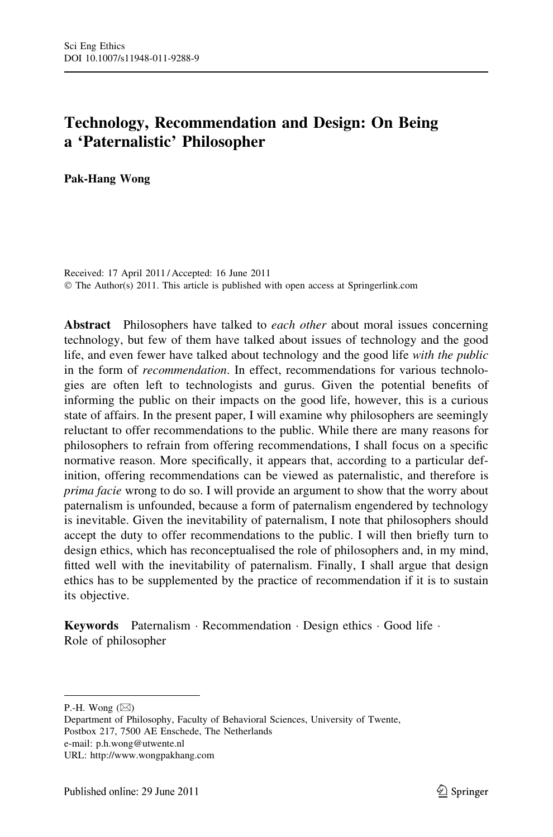# Technology, Recommendation and Design: On Being a 'Paternalistic' Philosopher

Pak-Hang Wong

Received: 17 April 2011 / Accepted: 16 June 2011 © The Author(s) 2011. This article is published with open access at Springerlink.com

Abstract Philosophers have talked to each other about moral issues concerning technology, but few of them have talked about issues of technology and the good life, and even fewer have talked about technology and the good life with the public in the form of *recommendation*. In effect, recommendations for various technologies are often left to technologists and gurus. Given the potential benefits of informing the public on their impacts on the good life, however, this is a curious state of affairs. In the present paper, I will examine why philosophers are seemingly reluctant to offer recommendations to the public. While there are many reasons for philosophers to refrain from offering recommendations, I shall focus on a specific normative reason. More specifically, it appears that, according to a particular definition, offering recommendations can be viewed as paternalistic, and therefore is prima facie wrong to do so. I will provide an argument to show that the worry about paternalism is unfounded, because a form of paternalism engendered by technology is inevitable. Given the inevitability of paternalism, I note that philosophers should accept the duty to offer recommendations to the public. I will then briefly turn to design ethics, which has reconceptualised the role of philosophers and, in my mind, fitted well with the inevitability of paternalism. Finally, I shall argue that design ethics has to be supplemented by the practice of recommendation if it is to sustain its objective.

Keywords Paternalism · Recommendation · Design ethics · Good life · Role of philosopher

P.-H. Wong  $(\boxtimes)$ 

Department of Philosophy, Faculty of Behavioral Sciences, University of Twente, Postbox 217, 7500 AE Enschede, The Netherlands e-mail: p.h.wong@utwente.nl URL: http://www.wongpakhang.com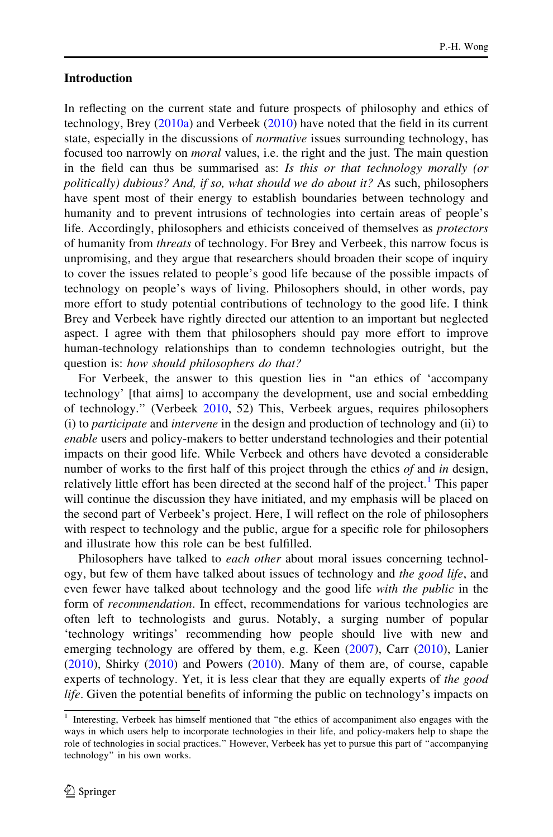#### Introduction

In reflecting on the current state and future prospects of philosophy and ethics of technology, Brey ([2010a](#page-14-0)) and Verbeek ([2010\)](#page-15-0) have noted that the field in its current state, especially in the discussions of *normative* issues surrounding technology, has focused too narrowly on moral values, i.e. the right and the just. The main question in the field can thus be summarised as: Is this or that technology morally (or politically) dubious? And, if so, what should we do about it? As such, philosophers have spent most of their energy to establish boundaries between technology and humanity and to prevent intrusions of technologies into certain areas of people's life. Accordingly, philosophers and ethicists conceived of themselves as protectors of humanity from threats of technology. For Brey and Verbeek, this narrow focus is unpromising, and they argue that researchers should broaden their scope of inquiry to cover the issues related to people's good life because of the possible impacts of technology on people's ways of living. Philosophers should, in other words, pay more effort to study potential contributions of technology to the good life. I think Brey and Verbeek have rightly directed our attention to an important but neglected aspect. I agree with them that philosophers should pay more effort to improve human-technology relationships than to condemn technologies outright, but the question is: how should philosophers do that?

For Verbeek, the answer to this question lies in ''an ethics of 'accompany technology' [that aims] to accompany the development, use and social embedding of technology.'' (Verbeek [2010,](#page-15-0) 52) This, Verbeek argues, requires philosophers (i) to participate and intervene in the design and production of technology and (ii) to enable users and policy-makers to better understand technologies and their potential impacts on their good life. While Verbeek and others have devoted a considerable number of works to the first half of this project through the ethics of and in design, relatively little effort has been directed at the second half of the project.<sup>1</sup> This paper will continue the discussion they have initiated, and my emphasis will be placed on the second part of Verbeek's project. Here, I will reflect on the role of philosophers with respect to technology and the public, argue for a specific role for philosophers and illustrate how this role can be best fulfilled.

Philosophers have talked to each other about moral issues concerning technology, but few of them have talked about issues of technology and the good life, and even fewer have talked about technology and the good life with the public in the form of recommendation. In effect, recommendations for various technologies are often left to technologists and gurus. Notably, a surging number of popular 'technology writings' recommending how people should live with new and emerging technology are offered by them, e.g. Keen  $(2007)$  $(2007)$ , Carr  $(2010)$  $(2010)$ , Lanier [\(2010](#page-14-0)), Shirky [\(2010](#page-15-0)) and Powers ([2010](#page-15-0)). Many of them are, of course, capable experts of technology. Yet, it is less clear that they are equally experts of the good life. Given the potential benefits of informing the public on technology's impacts on

<sup>&</sup>lt;sup>1</sup> Interesting, Verbeek has himself mentioned that "the ethics of accompaniment also engages with the ways in which users help to incorporate technologies in their life, and policy-makers help to shape the role of technologies in social practices.'' However, Verbeek has yet to pursue this part of ''accompanying technology'' in his own works.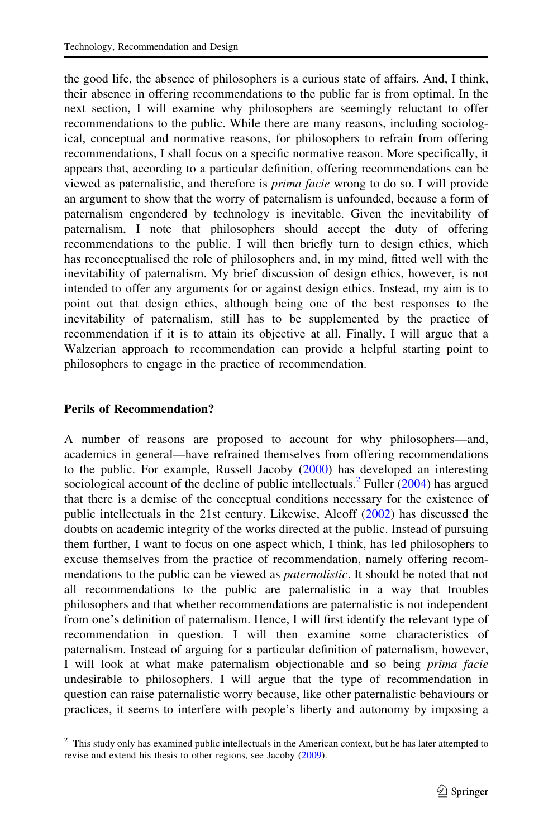the good life, the absence of philosophers is a curious state of affairs. And, I think, their absence in offering recommendations to the public far is from optimal. In the next section, I will examine why philosophers are seemingly reluctant to offer recommendations to the public. While there are many reasons, including sociological, conceptual and normative reasons, for philosophers to refrain from offering recommendations, I shall focus on a specific normative reason. More specifically, it appears that, according to a particular definition, offering recommendations can be viewed as paternalistic, and therefore is prima facie wrong to do so. I will provide an argument to show that the worry of paternalism is unfounded, because a form of paternalism engendered by technology is inevitable. Given the inevitability of paternalism, I note that philosophers should accept the duty of offering recommendations to the public. I will then briefly turn to design ethics, which has reconceptualised the role of philosophers and, in my mind, fitted well with the inevitability of paternalism. My brief discussion of design ethics, however, is not intended to offer any arguments for or against design ethics. Instead, my aim is to point out that design ethics, although being one of the best responses to the inevitability of paternalism, still has to be supplemented by the practice of recommendation if it is to attain its objective at all. Finally, I will argue that a Walzerian approach to recommendation can provide a helpful starting point to philosophers to engage in the practice of recommendation.

### Perils of Recommendation?

A number of reasons are proposed to account for why philosophers—and, academics in general—have refrained themselves from offering recommendations to the public. For example, Russell Jacoby ([2000\)](#page-14-0) has developed an interesting sociological account of the decline of public intellectuals.<sup>2</sup> Fuller  $(2004)$  $(2004)$  has argued that there is a demise of the conceptual conditions necessary for the existence of public intellectuals in the 21st century. Likewise, Alcoff ([2002\)](#page-14-0) has discussed the doubts on academic integrity of the works directed at the public. Instead of pursuing them further, I want to focus on one aspect which, I think, has led philosophers to excuse themselves from the practice of recommendation, namely offering recommendations to the public can be viewed as *paternalistic*. It should be noted that not all recommendations to the public are paternalistic in a way that troubles philosophers and that whether recommendations are paternalistic is not independent from one's definition of paternalism. Hence, I will first identify the relevant type of recommendation in question. I will then examine some characteristics of paternalism. Instead of arguing for a particular definition of paternalism, however, I will look at what make paternalism objectionable and so being *prima facie* undesirable to philosophers. I will argue that the type of recommendation in question can raise paternalistic worry because, like other paternalistic behaviours or practices, it seems to interfere with people's liberty and autonomy by imposing a

 $2$  This study only has examined public intellectuals in the American context, but he has later attempted to revise and extend his thesis to other regions, see Jacoby ([2009\)](#page-14-0).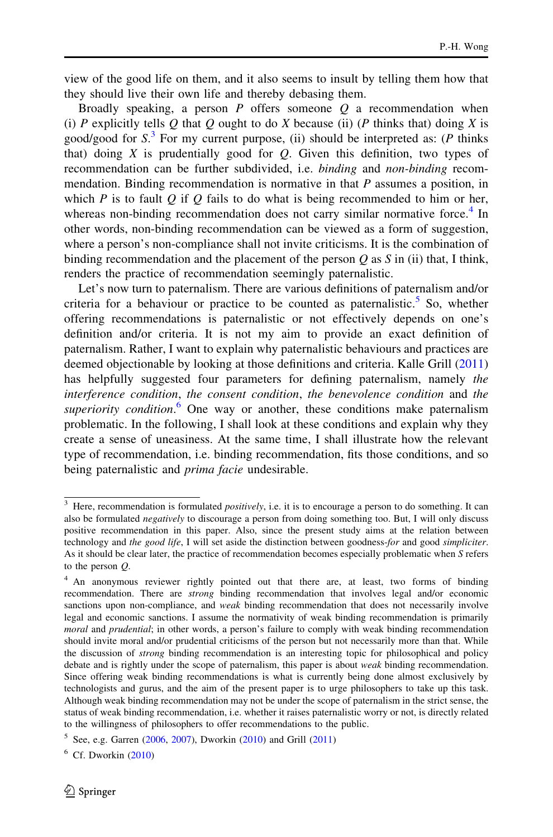view of the good life on them, and it also seems to insult by telling them how that they should live their own life and thereby debasing them.

Broadly speaking, a person  $P$  offers someone  $Q$  a recommendation when (i) P explicitly tells Q that Q ought to do X because (ii) (P thinks that) doing X is good/good for  $S^3$ . For my current purpose, (ii) should be interpreted as: (P thinks that) doing  $X$  is prudentially good for  $Q$ . Given this definition, two types of recommendation can be further subdivided, i.e. binding and non-binding recommendation. Binding recommendation is normative in that  $P$  assumes a position, in which  $P$  is to fault  $Q$  if  $Q$  fails to do what is being recommended to him or her, whereas non-binding recommendation does not carry similar normative force.<sup>4</sup> In other words, non-binding recommendation can be viewed as a form of suggestion, where a person's non-compliance shall not invite criticisms. It is the combination of binding recommendation and the placement of the person  $\hat{O}$  as  $\hat{S}$  in (ii) that, I think, renders the practice of recommendation seemingly paternalistic.

Let's now turn to paternalism. There are various definitions of paternalism and/or criteria for a behaviour or practice to be counted as paternalistic.<sup>5</sup> So, whether offering recommendations is paternalistic or not effectively depends on one's definition and/or criteria. It is not my aim to provide an exact definition of paternalism. Rather, I want to explain why paternalistic behaviours and practices are deemed objectionable by looking at those definitions and criteria. Kalle Grill [\(2011](#page-14-0)) has helpfully suggested four parameters for defining paternalism, namely the interference condition, the consent condition, the benevolence condition and the superiority condition.<sup>6</sup> One way or another, these conditions make paternalism problematic. In the following, I shall look at these conditions and explain why they create a sense of uneasiness. At the same time, I shall illustrate how the relevant type of recommendation, i.e. binding recommendation, fits those conditions, and so being paternalistic and *prima facie* undesirable.

 $3$  Here, recommendation is formulated *positively*, i.e. it is to encourage a person to do something. It can also be formulated negatively to discourage a person from doing something too. But, I will only discuss positive recommendation in this paper. Also, since the present study aims at the relation between technology and the good life, I will set aside the distinction between goodness-for and good simpliciter. As it should be clear later, the practice of recommendation becomes especially problematic when S refers to the person Q.

<sup>4</sup> An anonymous reviewer rightly pointed out that there are, at least, two forms of binding recommendation. There are strong binding recommendation that involves legal and/or economic sanctions upon non-compliance, and *weak* binding recommendation that does not necessarily involve legal and economic sanctions. I assume the normativity of weak binding recommendation is primarily moral and prudential; in other words, a person's failure to comply with weak binding recommendation should invite moral and/or prudential criticisms of the person but not necessarily more than that. While the discussion of *strong* binding recommendation is an interesting topic for philosophical and policy debate and is rightly under the scope of paternalism, this paper is about weak binding recommendation. Since offering weak binding recommendations is what is currently being done almost exclusively by technologists and gurus, and the aim of the present paper is to urge philosophers to take up this task. Although weak binding recommendation may not be under the scope of paternalism in the strict sense, the status of weak binding recommendation, i.e. whether it raises paternalistic worry or not, is directly related to the willingness of philosophers to offer recommendations to the public.

<sup>&</sup>lt;sup>5</sup> See, e.g. Garren ([2006,](#page-14-0) [2007](#page-14-0)), Dworkin ([2010\)](#page-14-0) and Grill ([2011\)](#page-14-0)

 $6$  Cf. Dworkin  $(2010)$  $(2010)$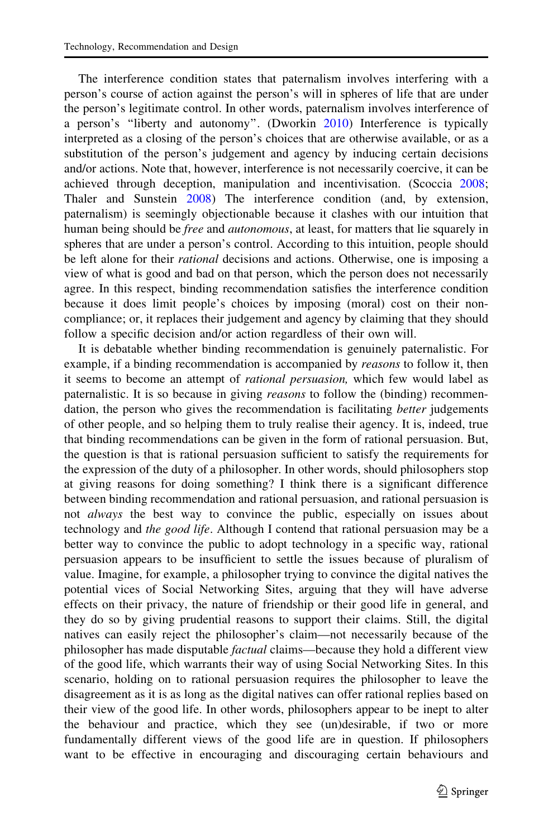The interference condition states that paternalism involves interfering with a person's course of action against the person's will in spheres of life that are under the person's legitimate control. In other words, paternalism involves interference of a person's ''liberty and autonomy''. (Dworkin [2010](#page-14-0)) Interference is typically interpreted as a closing of the person's choices that are otherwise available, or as a substitution of the person's judgement and agency by inducing certain decisions and/or actions. Note that, however, interference is not necessarily coercive, it can be achieved through deception, manipulation and incentivisation. (Scoccia [2008;](#page-15-0) Thaler and Sunstein [2008](#page-15-0)) The interference condition (and, by extension, paternalism) is seemingly objectionable because it clashes with our intuition that human being should be *free* and *autonomous*, at least, for matters that lie squarely in spheres that are under a person's control. According to this intuition, people should be left alone for their *rational* decisions and actions. Otherwise, one is imposing a view of what is good and bad on that person, which the person does not necessarily agree. In this respect, binding recommendation satisfies the interference condition because it does limit people's choices by imposing (moral) cost on their noncompliance; or, it replaces their judgement and agency by claiming that they should follow a specific decision and/or action regardless of their own will.

It is debatable whether binding recommendation is genuinely paternalistic. For example, if a binding recommendation is accompanied by *reasons* to follow it, then it seems to become an attempt of rational persuasion, which few would label as paternalistic. It is so because in giving *reasons* to follow the (binding) recommendation, the person who gives the recommendation is facilitating *better* judgements of other people, and so helping them to truly realise their agency. It is, indeed, true that binding recommendations can be given in the form of rational persuasion. But, the question is that is rational persuasion sufficient to satisfy the requirements for the expression of the duty of a philosopher. In other words, should philosophers stop at giving reasons for doing something? I think there is a significant difference between binding recommendation and rational persuasion, and rational persuasion is not always the best way to convince the public, especially on issues about technology and the good life. Although I contend that rational persuasion may be a better way to convince the public to adopt technology in a specific way, rational persuasion appears to be insufficient to settle the issues because of pluralism of value. Imagine, for example, a philosopher trying to convince the digital natives the potential vices of Social Networking Sites, arguing that they will have adverse effects on their privacy, the nature of friendship or their good life in general, and they do so by giving prudential reasons to support their claims. Still, the digital natives can easily reject the philosopher's claim—not necessarily because of the philosopher has made disputable *factual* claims—because they hold a different view of the good life, which warrants their way of using Social Networking Sites. In this scenario, holding on to rational persuasion requires the philosopher to leave the disagreement as it is as long as the digital natives can offer rational replies based on their view of the good life. In other words, philosophers appear to be inept to alter the behaviour and practice, which they see (un)desirable, if two or more fundamentally different views of the good life are in question. If philosophers want to be effective in encouraging and discouraging certain behaviours and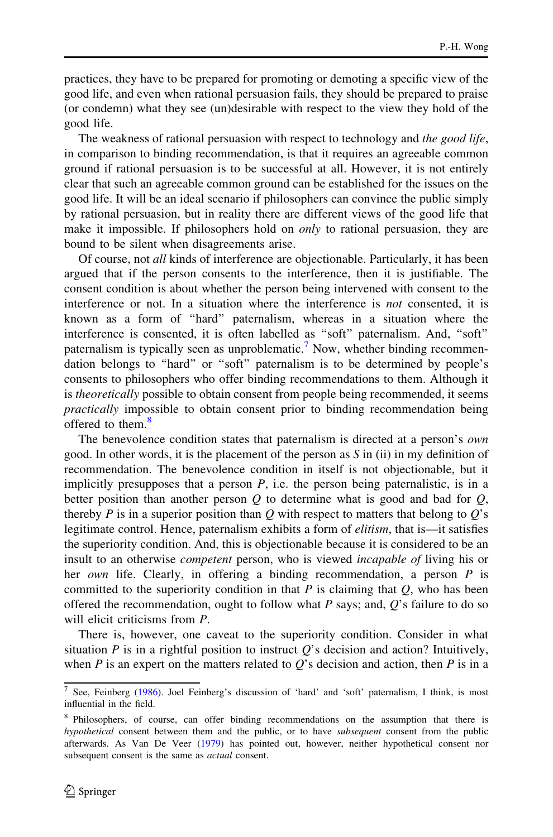practices, they have to be prepared for promoting or demoting a specific view of the good life, and even when rational persuasion fails, they should be prepared to praise (or condemn) what they see (un)desirable with respect to the view they hold of the good life.

The weakness of rational persuasion with respect to technology and the good life, in comparison to binding recommendation, is that it requires an agreeable common ground if rational persuasion is to be successful at all. However, it is not entirely clear that such an agreeable common ground can be established for the issues on the good life. It will be an ideal scenario if philosophers can convince the public simply by rational persuasion, but in reality there are different views of the good life that make it impossible. If philosophers hold on *only* to rational persuasion, they are bound to be silent when disagreements arise.

Of course, not all kinds of interference are objectionable. Particularly, it has been argued that if the person consents to the interference, then it is justifiable. The consent condition is about whether the person being intervened with consent to the interference or not. In a situation where the interference is not consented, it is known as a form of ''hard'' paternalism, whereas in a situation where the interference is consented, it is often labelled as ''soft'' paternalism. And, ''soft'' paternalism is typically seen as unproblematic.<sup>7</sup> Now, whether binding recommendation belongs to ''hard'' or ''soft'' paternalism is to be determined by people's consents to philosophers who offer binding recommendations to them. Although it is *theoretically* possible to obtain consent from people being recommended, it seems practically impossible to obtain consent prior to binding recommendation being offered to them.<sup>8</sup>

The benevolence condition states that paternalism is directed at a person's *own* good. In other words, it is the placement of the person as  $S$  in (ii) in my definition of recommendation. The benevolence condition in itself is not objectionable, but it implicitly presupposes that a person  $P$ , i.e. the person being paternalistic, is in a better position than another person  $Q$  to determine what is good and bad for  $Q$ , thereby  $P$  is in a superior position than  $Q$  with respect to matters that belong to  $Q$ 's legitimate control. Hence, paternalism exhibits a form of elitism, that is—it satisfies the superiority condition. And, this is objectionable because it is considered to be an insult to an otherwise *competent* person, who is viewed *incapable of* living his or her *own* life. Clearly, in offering a binding recommendation, a person  $P$  is committed to the superiority condition in that  $P$  is claiming that  $Q$ , who has been offered the recommendation, ought to follow what  $P$  says; and,  $Q$ 's failure to do so will elicit criticisms from P.

There is, however, one caveat to the superiority condition. Consider in what situation  $P$  is in a rightful position to instruct  $Q$ 's decision and action? Intuitively, when P is an expert on the matters related to  $Q$ 's decision and action, then P is in a

<sup>7</sup> See, Feinberg ([1986](#page-14-0)). Joel Feinberg's discussion of 'hard' and 'soft' paternalism, I think, is most influential in the field.

<sup>&</sup>lt;sup>8</sup> Philosophers, of course, can offer binding recommendations on the assumption that there is hypothetical consent between them and the public, or to have subsequent consent from the public afterwards. As Van De Veer ([1979](#page-15-0)) has pointed out, however, neither hypothetical consent nor subsequent consent is the same as *actual* consent.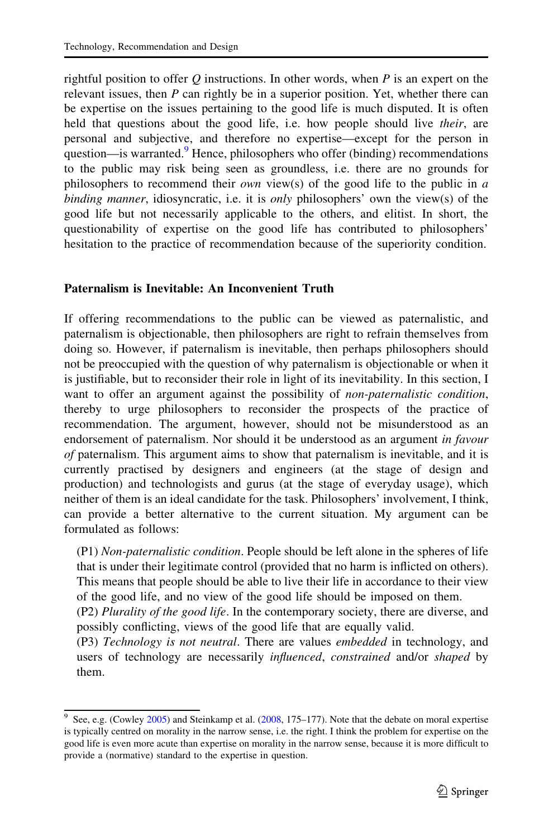rightful position to offer  $Q$  instructions. In other words, when  $P$  is an expert on the relevant issues, then  $P$  can rightly be in a superior position. Yet, whether there can be expertise on the issues pertaining to the good life is much disputed. It is often held that questions about the good life, i.e. how people should live *their*, are personal and subjective, and therefore no expertise—except for the person in question—is warranted.<sup>9</sup> Hence, philosophers who offer (binding) recommendations to the public may risk being seen as groundless, i.e. there are no grounds for philosophers to recommend their *own* view(s) of the good life to the public in  $a$ binding manner, idiosyncratic, i.e. it is only philosophers' own the view(s) of the good life but not necessarily applicable to the others, and elitist. In short, the questionability of expertise on the good life has contributed to philosophers' hesitation to the practice of recommendation because of the superiority condition.

## Paternalism is Inevitable: An Inconvenient Truth

If offering recommendations to the public can be viewed as paternalistic, and paternalism is objectionable, then philosophers are right to refrain themselves from doing so. However, if paternalism is inevitable, then perhaps philosophers should not be preoccupied with the question of why paternalism is objectionable or when it is justifiable, but to reconsider their role in light of its inevitability. In this section, I want to offer an argument against the possibility of non-paternalistic condition, thereby to urge philosophers to reconsider the prospects of the practice of recommendation. The argument, however, should not be misunderstood as an endorsement of paternalism. Nor should it be understood as an argument in favour of paternalism. This argument aims to show that paternalism is inevitable, and it is currently practised by designers and engineers (at the stage of design and production) and technologists and gurus (at the stage of everyday usage), which neither of them is an ideal candidate for the task. Philosophers' involvement, I think, can provide a better alternative to the current situation. My argument can be formulated as follows:

(P1) Non-paternalistic condition. People should be left alone in the spheres of life that is under their legitimate control (provided that no harm is inflicted on others). This means that people should be able to live their life in accordance to their view of the good life, and no view of the good life should be imposed on them.

(P2) Plurality of the good life. In the contemporary society, there are diverse, and possibly conflicting, views of the good life that are equally valid.

(P3) Technology is not neutral. There are values embedded in technology, and users of technology are necessarily *influenced*, *constrained* and/or *shaped* by them.

See, e.g. (Cowley [2005\)](#page-14-0) and Steinkamp et al. ([2008,](#page-15-0) 175–177). Note that the debate on moral expertise is typically centred on morality in the narrow sense, i.e. the right. I think the problem for expertise on the good life is even more acute than expertise on morality in the narrow sense, because it is more difficult to provide a (normative) standard to the expertise in question.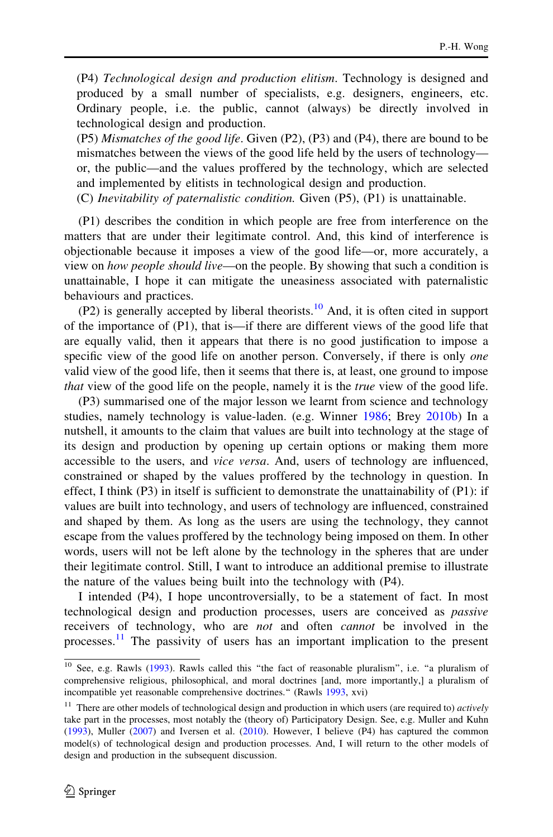(P4) Technological design and production elitism. Technology is designed and produced by a small number of specialists, e.g. designers, engineers, etc. Ordinary people, i.e. the public, cannot (always) be directly involved in technological design and production.

 $(P5)$  *Mismatches of the good life.* Given  $(P2)$ ,  $(P3)$  and  $(P4)$ , there are bound to be mismatches between the views of the good life held by the users of technology or, the public—and the values proffered by the technology, which are selected and implemented by elitists in technological design and production.

(C) Inevitability of paternalistic condition. Given (P5), (P1) is unattainable.

(P1) describes the condition in which people are free from interference on the matters that are under their legitimate control. And, this kind of interference is objectionable because it imposes a view of the good life—or, more accurately, a view on how people should live—on the people. By showing that such a condition is unattainable, I hope it can mitigate the uneasiness associated with paternalistic behaviours and practices.

 $(P2)$  is generally accepted by liberal theorists.<sup>10</sup> And, it is often cited in support of the importance of (P1), that is—if there are different views of the good life that are equally valid, then it appears that there is no good justification to impose a specific view of the good life on another person. Conversely, if there is only *one* valid view of the good life, then it seems that there is, at least, one ground to impose that view of the good life on the people, namely it is the *true* view of the good life.

(P3) summarised one of the major lesson we learnt from science and technology studies, namely technology is value-laden. (e.g. Winner [1986](#page-15-0); Brey [2010b\)](#page-14-0) In a nutshell, it amounts to the claim that values are built into technology at the stage of its design and production by opening up certain options or making them more accessible to the users, and vice versa. And, users of technology are influenced, constrained or shaped by the values proffered by the technology in question. In effect, I think  $(P3)$  in itself is sufficient to demonstrate the unattainability of  $(P1)$ : if values are built into technology, and users of technology are influenced, constrained and shaped by them. As long as the users are using the technology, they cannot escape from the values proffered by the technology being imposed on them. In other words, users will not be left alone by the technology in the spheres that are under their legitimate control. Still, I want to introduce an additional premise to illustrate the nature of the values being built into the technology with (P4).

I intended (P4), I hope uncontroversially, to be a statement of fact. In most technological design and production processes, users are conceived as passive receivers of technology, who are not and often cannot be involved in the processes.<sup>11</sup> The passivity of users has an important implication to the present

<sup>&</sup>lt;sup>10</sup> See, e.g. Rawls ([1993\)](#page-15-0). Rawls called this "the fact of reasonable pluralism", i.e. "a pluralism of comprehensive religious, philosophical, and moral doctrines [and, more importantly,] a pluralism of incompatible yet reasonable comprehensive doctrines.'' (Rawls [1993,](#page-15-0) xvi)

 $11$  There are other models of technological design and production in which users (are required to) *actively* take part in the processes, most notably the (theory of) Participatory Design. See, e.g. Muller and Kuhn ([1993\)](#page-15-0), Muller ([2007\)](#page-14-0) and Iversen et al. [\(2010](#page-14-0)). However, I believe (P4) has captured the common model(s) of technological design and production processes. And, I will return to the other models of design and production in the subsequent discussion.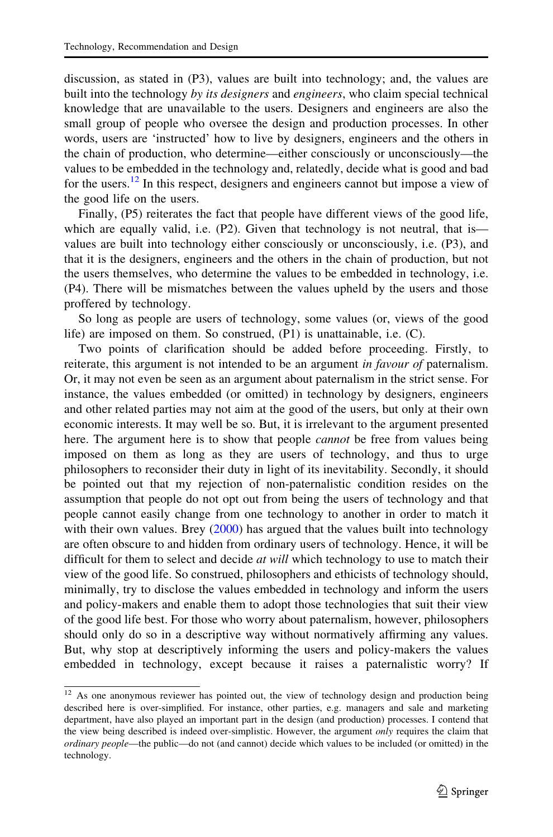discussion, as stated in (P3), values are built into technology; and, the values are built into the technology by its designers and engineers, who claim special technical knowledge that are unavailable to the users. Designers and engineers are also the small group of people who oversee the design and production processes. In other words, users are 'instructed' how to live by designers, engineers and the others in the chain of production, who determine—either consciously or unconsciously—the values to be embedded in the technology and, relatedly, decide what is good and bad for the users.<sup>12</sup> In this respect, designers and engineers cannot but impose a view of the good life on the users.

Finally, (P5) reiterates the fact that people have different views of the good life, which are equally valid, i.e.  $(P2)$ . Given that technology is not neutral, that is values are built into technology either consciously or unconsciously, i.e. (P3), and that it is the designers, engineers and the others in the chain of production, but not the users themselves, who determine the values to be embedded in technology, i.e. (P4). There will be mismatches between the values upheld by the users and those proffered by technology.

So long as people are users of technology, some values (or, views of the good life) are imposed on them. So construed, (P1) is unattainable, i.e. (C).

Two points of clarification should be added before proceeding. Firstly, to reiterate, this argument is not intended to be an argument in favour of paternalism. Or, it may not even be seen as an argument about paternalism in the strict sense. For instance, the values embedded (or omitted) in technology by designers, engineers and other related parties may not aim at the good of the users, but only at their own economic interests. It may well be so. But, it is irrelevant to the argument presented here. The argument here is to show that people *cannot* be free from values being imposed on them as long as they are users of technology, and thus to urge philosophers to reconsider their duty in light of its inevitability. Secondly, it should be pointed out that my rejection of non-paternalistic condition resides on the assumption that people do not opt out from being the users of technology and that people cannot easily change from one technology to another in order to match it with their own values. Brey ([2000\)](#page-14-0) has argued that the values built into technology are often obscure to and hidden from ordinary users of technology. Hence, it will be difficult for them to select and decide at will which technology to use to match their view of the good life. So construed, philosophers and ethicists of technology should, minimally, try to disclose the values embedded in technology and inform the users and policy-makers and enable them to adopt those technologies that suit their view of the good life best. For those who worry about paternalism, however, philosophers should only do so in a descriptive way without normatively affirming any values. But, why stop at descriptively informing the users and policy-makers the values embedded in technology, except because it raises a paternalistic worry? If

<sup>&</sup>lt;sup>12</sup> As one anonymous reviewer has pointed out, the view of technology design and production being described here is over-simplified. For instance, other parties, e.g. managers and sale and marketing department, have also played an important part in the design (and production) processes. I contend that the view being described is indeed over-simplistic. However, the argument only requires the claim that ordinary people—the public—do not (and cannot) decide which values to be included (or omitted) in the technology.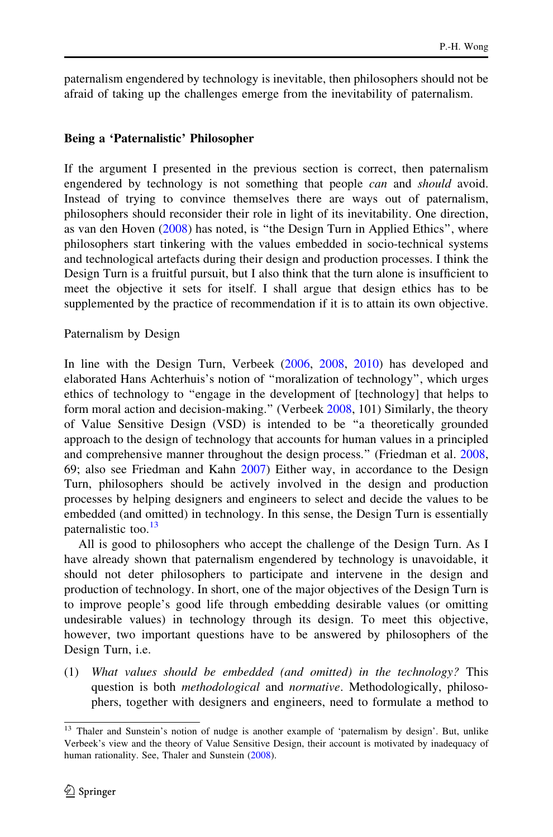paternalism engendered by technology is inevitable, then philosophers should not be afraid of taking up the challenges emerge from the inevitability of paternalism.

#### Being a 'Paternalistic' Philosopher

If the argument I presented in the previous section is correct, then paternalism engendered by technology is not something that people *can* and *should* avoid. Instead of trying to convince themselves there are ways out of paternalism, philosophers should reconsider their role in light of its inevitability. One direction, as van den Hoven [\(2008](#page-15-0)) has noted, is ''the Design Turn in Applied Ethics'', where philosophers start tinkering with the values embedded in socio-technical systems and technological artefacts during their design and production processes. I think the Design Turn is a fruitful pursuit, but I also think that the turn alone is insufficient to meet the objective it sets for itself. I shall argue that design ethics has to be supplemented by the practice of recommendation if it is to attain its own objective.

#### Paternalism by Design

In line with the Design Turn, Verbeek [\(2006](#page-15-0), [2008,](#page-15-0) [2010](#page-15-0)) has developed and elaborated Hans Achterhuis's notion of ''moralization of technology'', which urges ethics of technology to ''engage in the development of [technology] that helps to form moral action and decision-making.'' (Verbeek [2008,](#page-15-0) 101) Similarly, the theory of Value Sensitive Design (VSD) is intended to be ''a theoretically grounded approach to the design of technology that accounts for human values in a principled and comprehensive manner throughout the design process.'' (Friedman et al. [2008,](#page-14-0) 69; also see Friedman and Kahn [2007\)](#page-14-0) Either way, in accordance to the Design Turn, philosophers should be actively involved in the design and production processes by helping designers and engineers to select and decide the values to be embedded (and omitted) in technology. In this sense, the Design Turn is essentially paternalistic too.<sup>13</sup>

All is good to philosophers who accept the challenge of the Design Turn. As I have already shown that paternalism engendered by technology is unavoidable, it should not deter philosophers to participate and intervene in the design and production of technology. In short, one of the major objectives of the Design Turn is to improve people's good life through embedding desirable values (or omitting undesirable values) in technology through its design. To meet this objective, however, two important questions have to be answered by philosophers of the Design Turn, i.e.

(1) What values should be embedded (and omitted) in the technology? This question is both methodological and normative. Methodologically, philosophers, together with designers and engineers, need to formulate a method to

<sup>&</sup>lt;sup>13</sup> Thaler and Sunstein's notion of nudge is another example of 'paternalism by design'. But, unlike Verbeek's view and the theory of Value Sensitive Design, their account is motivated by inadequacy of human rationality. See, Thaler and Sunstein [\(2008](#page-15-0)).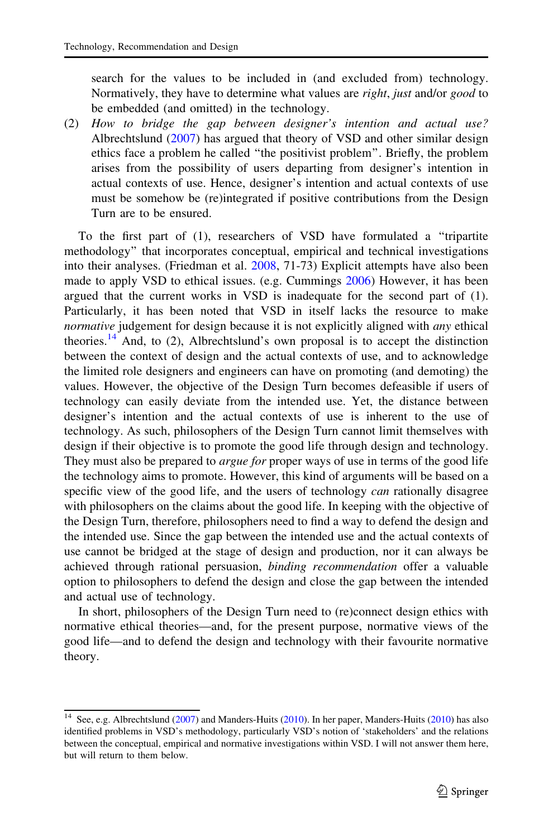search for the values to be included in (and excluded from) technology. Normatively, they have to determine what values are right, just and/or good to be embedded (and omitted) in the technology.

(2) How to bridge the gap between designer's intention and actual use? Albrechtslund ([2007\)](#page-14-0) has argued that theory of VSD and other similar design ethics face a problem he called ''the positivist problem''. Briefly, the problem arises from the possibility of users departing from designer's intention in actual contexts of use. Hence, designer's intention and actual contexts of use must be somehow be (re)integrated if positive contributions from the Design Turn are to be ensured.

To the first part of (1), researchers of VSD have formulated a ''tripartite methodology'' that incorporates conceptual, empirical and technical investigations into their analyses. (Friedman et al. [2008,](#page-14-0) 71-73) Explicit attempts have also been made to apply VSD to ethical issues. (e.g. Cummings [2006\)](#page-14-0) However, it has been argued that the current works in VSD is inadequate for the second part of (1). Particularly, it has been noted that VSD in itself lacks the resource to make normative judgement for design because it is not explicitly aligned with *any* ethical theories. $14$  And, to (2), Albrechtslund's own proposal is to accept the distinction between the context of design and the actual contexts of use, and to acknowledge the limited role designers and engineers can have on promoting (and demoting) the values. However, the objective of the Design Turn becomes defeasible if users of technology can easily deviate from the intended use. Yet, the distance between designer's intention and the actual contexts of use is inherent to the use of technology. As such, philosophers of the Design Turn cannot limit themselves with design if their objective is to promote the good life through design and technology. They must also be prepared to *argue for* proper ways of use in terms of the good life the technology aims to promote. However, this kind of arguments will be based on a specific view of the good life, and the users of technology *can* rationally disagree with philosophers on the claims about the good life. In keeping with the objective of the Design Turn, therefore, philosophers need to find a way to defend the design and the intended use. Since the gap between the intended use and the actual contexts of use cannot be bridged at the stage of design and production, nor it can always be achieved through rational persuasion, binding recommendation offer a valuable option to philosophers to defend the design and close the gap between the intended and actual use of technology.

In short, philosophers of the Design Turn need to (re)connect design ethics with normative ethical theories—and, for the present purpose, normative views of the good life—and to defend the design and technology with their favourite normative theory.

<sup>&</sup>lt;sup>14</sup> See, e.g. Albrechtslund [\(2007](#page-14-0)) and Manders-Huits ([2010\)](#page-14-0). In her paper, Manders-Huits ([2010](#page-14-0)) has also identified problems in VSD's methodology, particularly VSD's notion of 'stakeholders' and the relations between the conceptual, empirical and normative investigations within VSD. I will not answer them here, but will return to them below.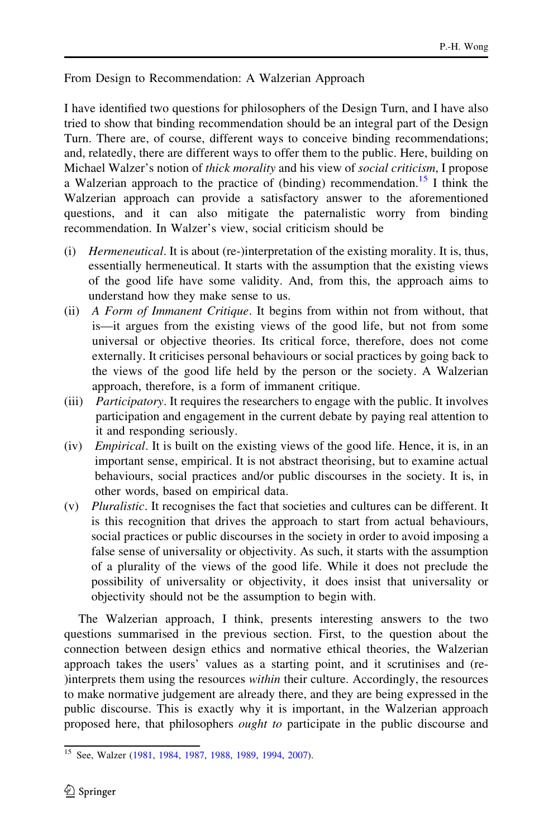## From Design to Recommendation: A Walzerian Approach

I have identified two questions for philosophers of the Design Turn, and I have also tried to show that binding recommendation should be an integral part of the Design Turn. There are, of course, different ways to conceive binding recommendations; and, relatedly, there are different ways to offer them to the public. Here, building on Michael Walzer's notion of *thick morality* and his view of *social criticism*, I propose a Walzerian approach to the practice of (binding) recommendation.<sup>15</sup> I think the Walzerian approach can provide a satisfactory answer to the aforementioned questions, and it can also mitigate the paternalistic worry from binding recommendation. In Walzer's view, social criticism should be

- (i) Hermeneutical. It is about (re-)interpretation of the existing morality. It is, thus, essentially hermeneutical. It starts with the assumption that the existing views of the good life have some validity. And, from this, the approach aims to understand how they make sense to us.
- (ii) A Form of Immanent Critique. It begins from within not from without, that is—it argues from the existing views of the good life, but not from some universal or objective theories. Its critical force, therefore, does not come externally. It criticises personal behaviours or social practices by going back to the views of the good life held by the person or the society. A Walzerian approach, therefore, is a form of immanent critique.
- (iii) Participatory. It requires the researchers to engage with the public. It involves participation and engagement in the current debate by paying real attention to it and responding seriously.
- (iv) Empirical. It is built on the existing views of the good life. Hence, it is, in an important sense, empirical. It is not abstract theorising, but to examine actual behaviours, social practices and/or public discourses in the society. It is, in other words, based on empirical data.
- (v) Pluralistic. It recognises the fact that societies and cultures can be different. It is this recognition that drives the approach to start from actual behaviours, social practices or public discourses in the society in order to avoid imposing a false sense of universality or objectivity. As such, it starts with the assumption of a plurality of the views of the good life. While it does not preclude the possibility of universality or objectivity, it does insist that universality or objectivity should not be the assumption to begin with.

The Walzerian approach, I think, presents interesting answers to the two questions summarised in the previous section. First, to the question about the connection between design ethics and normative ethical theories, the Walzerian approach takes the users' values as a starting point, and it scrutinises and (re- )interprets them using the resources within their culture. Accordingly, the resources to make normative judgement are already there, and they are being expressed in the public discourse. This is exactly why it is important, in the Walzerian approach proposed here, that philosophers ought to participate in the public discourse and

<sup>15</sup> See, Walzer ([1981](#page-15-0), [1984,](#page-15-0) [1987](#page-15-0), [1988](#page-15-0), [1989,](#page-15-0) [1994](#page-15-0), [2007\)](#page-15-0).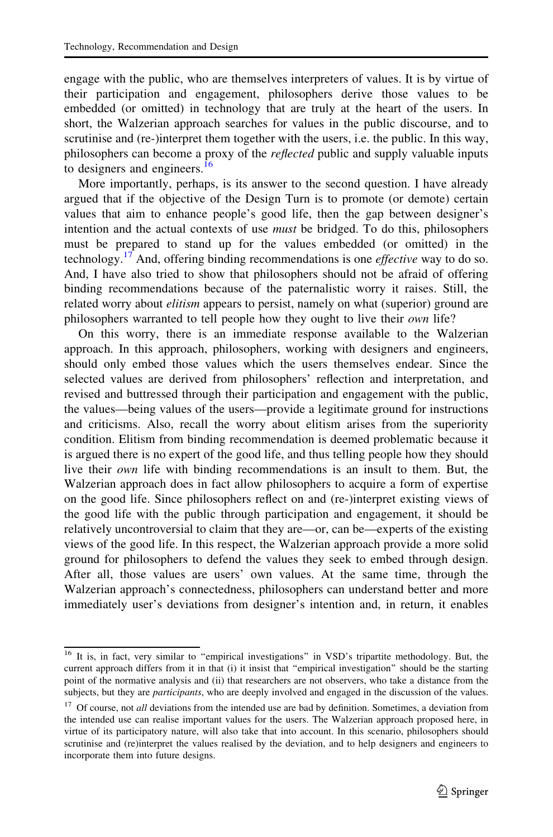engage with the public, who are themselves interpreters of values. It is by virtue of their participation and engagement, philosophers derive those values to be embedded (or omitted) in technology that are truly at the heart of the users. In short, the Walzerian approach searches for values in the public discourse, and to scrutinise and (re-)interpret them together with the users, i.e. the public. In this way, philosophers can become a proxy of the *reflected* public and supply valuable inputs to designers and engineers.<sup>16</sup>

More importantly, perhaps, is its answer to the second question. I have already argued that if the objective of the Design Turn is to promote (or demote) certain values that aim to enhance people's good life, then the gap between designer's intention and the actual contexts of use must be bridged. To do this, philosophers must be prepared to stand up for the values embedded (or omitted) in the technology.<sup>17</sup> And, offering binding recommendations is one *effective* way to do so. And, I have also tried to show that philosophers should not be afraid of offering binding recommendations because of the paternalistic worry it raises. Still, the related worry about *elitism* appears to persist, namely on what (superior) ground are philosophers warranted to tell people how they ought to live their *own* life?

On this worry, there is an immediate response available to the Walzerian approach. In this approach, philosophers, working with designers and engineers, should only embed those values which the users themselves endear. Since the selected values are derived from philosophers' reflection and interpretation, and revised and buttressed through their participation and engagement with the public, the values—being values of the users—provide a legitimate ground for instructions and criticisms. Also, recall the worry about elitism arises from the superiority condition. Elitism from binding recommendation is deemed problematic because it is argued there is no expert of the good life, and thus telling people how they should live their own life with binding recommendations is an insult to them. But, the Walzerian approach does in fact allow philosophers to acquire a form of expertise on the good life. Since philosophers reflect on and (re-)interpret existing views of the good life with the public through participation and engagement, it should be relatively uncontroversial to claim that they are—or, can be—experts of the existing views of the good life. In this respect, the Walzerian approach provide a more solid ground for philosophers to defend the values they seek to embed through design. After all, those values are users' own values. At the same time, through the Walzerian approach's connectedness, philosophers can understand better and more immediately user's deviations from designer's intention and, in return, it enables

<sup>&</sup>lt;sup>16</sup> It is, in fact, very similar to "empirical investigations" in VSD's tripartite methodology. But, the current approach differs from it in that (i) it insist that ''empirical investigation'' should be the starting point of the normative analysis and (ii) that researchers are not observers, who take a distance from the subjects, but they are *participants*, who are deeply involved and engaged in the discussion of the values.

<sup>&</sup>lt;sup>17</sup> Of course, not *all* deviations from the intended use are bad by definition. Sometimes, a deviation from the intended use can realise important values for the users. The Walzerian approach proposed here, in virtue of its participatory nature, will also take that into account. In this scenario, philosophers should scrutinise and (re)interpret the values realised by the deviation, and to help designers and engineers to incorporate them into future designs.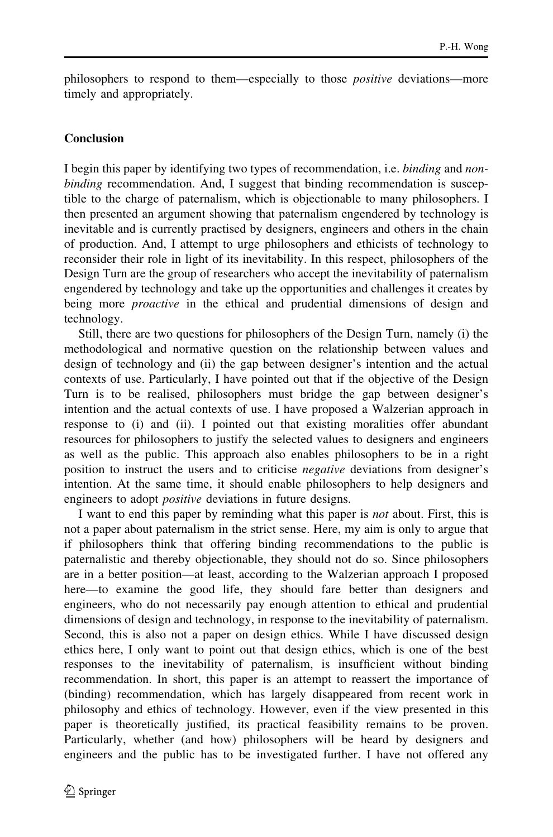philosophers to respond to them—especially to those *positive* deviations—more timely and appropriately.

#### Conclusion

I begin this paper by identifying two types of recommendation, i.e. binding and nonbinding recommendation. And, I suggest that binding recommendation is susceptible to the charge of paternalism, which is objectionable to many philosophers. I then presented an argument showing that paternalism engendered by technology is inevitable and is currently practised by designers, engineers and others in the chain of production. And, I attempt to urge philosophers and ethicists of technology to reconsider their role in light of its inevitability. In this respect, philosophers of the Design Turn are the group of researchers who accept the inevitability of paternalism engendered by technology and take up the opportunities and challenges it creates by being more *proactive* in the ethical and prudential dimensions of design and technology.

Still, there are two questions for philosophers of the Design Turn, namely (i) the methodological and normative question on the relationship between values and design of technology and (ii) the gap between designer's intention and the actual contexts of use. Particularly, I have pointed out that if the objective of the Design Turn is to be realised, philosophers must bridge the gap between designer's intention and the actual contexts of use. I have proposed a Walzerian approach in response to (i) and (ii). I pointed out that existing moralities offer abundant resources for philosophers to justify the selected values to designers and engineers as well as the public. This approach also enables philosophers to be in a right position to instruct the users and to criticise negative deviations from designer's intention. At the same time, it should enable philosophers to help designers and engineers to adopt *positive* deviations in future designs.

I want to end this paper by reminding what this paper is not about. First, this is not a paper about paternalism in the strict sense. Here, my aim is only to argue that if philosophers think that offering binding recommendations to the public is paternalistic and thereby objectionable, they should not do so. Since philosophers are in a better position—at least, according to the Walzerian approach I proposed here—to examine the good life, they should fare better than designers and engineers, who do not necessarily pay enough attention to ethical and prudential dimensions of design and technology, in response to the inevitability of paternalism. Second, this is also not a paper on design ethics. While I have discussed design ethics here, I only want to point out that design ethics, which is one of the best responses to the inevitability of paternalism, is insufficient without binding recommendation. In short, this paper is an attempt to reassert the importance of (binding) recommendation, which has largely disappeared from recent work in philosophy and ethics of technology. However, even if the view presented in this paper is theoretically justified, its practical feasibility remains to be proven. Particularly, whether (and how) philosophers will be heard by designers and engineers and the public has to be investigated further. I have not offered any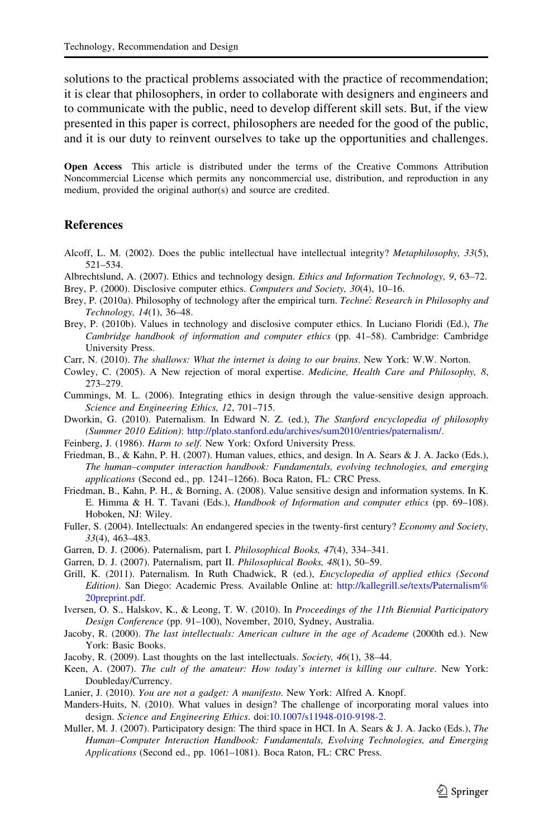<span id="page-14-0"></span>solutions to the practical problems associated with the practice of recommendation; it is clear that philosophers, in order to collaborate with designers and engineers and to communicate with the public, need to develop different skill sets. But, if the view presented in this paper is correct, philosophers are needed for the good of the public, and it is our duty to reinvent ourselves to take up the opportunities and challenges.

Open Access This article is distributed under the terms of the Creative Commons Attribution Noncommercial License which permits any noncommercial use, distribution, and reproduction in any medium, provided the original author(s) and source are credited.

#### **References**

- Alcoff, L. M. (2002). Does the public intellectual have intellectual integrity? Metaphilosophy, 33(5), 521–534.
- Albrechtslund, A. (2007). Ethics and technology design. Ethics and Information Technology, 9, 63–72.
- Brey, P. (2000). Disclosive computer ethics. Computers and Society, 30(4), 10–16.
- Brey, P. (2010a). Philosophy of technology after the empirical turn. Techne: Research in Philosophy and Technology, 14(1), 36–48.
- Brey, P. (2010b). Values in technology and disclosive computer ethics. In Luciano Floridi (Ed.), The Cambridge handbook of information and computer ethics (pp. 41–58). Cambridge: Cambridge University Press.
- Carr, N. (2010). The shallows: What the internet is doing to our brains. New York: W.W. Norton.
- Cowley, C. (2005). A New rejection of moral expertise. Medicine, Health Care and Philosophy, 8, 273–279.
- Cummings, M. L. (2006). Integrating ethics in design through the value-sensitive design approach. Science and Engineering Ethics, 12, 701–715.
- Dworkin, G. (2010). Paternalism. In Edward N. Z. (ed.), The Stanford encyclopedia of philosophy (Summer 2010 Edition): [http://plato.stanford.edu/archives/sum2010/entries/paternalism/.](http://plato.stanford.edu/archives/sum2010/entries/paternalism/)
- Feinberg, J. (1986). Harm to self. New York: Oxford University Press.
- Friedman, B., & Kahn, P. H. (2007). Human values, ethics, and design. In A. Sears & J. A. Jacko (Eds.), The human–computer interaction handbook: Fundamentals, evolving technologies, and emerging applications (Second ed., pp. 1241–1266). Boca Raton, FL: CRC Press.
- Friedman, B., Kahn, P. H., & Borning, A. (2008). Value sensitive design and information systems. In K. E. Himma & H. T. Tavani (Eds.), Handbook of Information and computer ethics (pp. 69–108). Hoboken, NJ: Wiley.
- Fuller, S. (2004). Intellectuals: An endangered species in the twenty-first century? Economy and Society, 33(4), 463–483.
- Garren, D. J. (2006). Paternalism, part I. Philosophical Books, 47(4), 334–341.
- Garren, D. J. (2007). Paternalism, part II. Philosophical Books, 48(1), 50-59.
- Grill, K. (2011). Paternalism. In Ruth Chadwick, R (ed.), *Encyclopedia of applied ethics (Second* Edition). San Diego: Academic Press. Available Online at: [http://kallegrill.se/texts/Paternalism%](http://kallegrill.se/texts/Paternalism%20preprint.pdf) [20preprint.pdf.](http://kallegrill.se/texts/Paternalism%20preprint.pdf)
- Iversen, O. S., Halskov, K., & Leong, T. W. (2010). In Proceedings of the 11th Biennial Participatory Design Conference (pp. 91–100), November, 2010, Sydney, Australia.
- Jacoby, R. (2000). The last intellectuals: American culture in the age of Academe (2000th ed.). New York: Basic Books.
- Jacoby, R. (2009). Last thoughts on the last intellectuals. Society, 46(1), 38–44.
- Keen, A. (2007). The cult of the amateur: How today's internet is killing our culture. New York: Doubleday/Currency.
- Lanier, J. (2010). You are not a gadget: A manifesto. New York: Alfred A. Knopf.
- Manders-Huits, N. (2010). What values in design? The challenge of incorporating moral values into design. Science and Engineering Ethics. doi[:10.1007/s11948-010-9198-2.](http://dx.doi.org/10.1007/s11948-010-9198-2)
- Muller, M. J. (2007). Participatory design: The third space in HCI. In A. Sears & J. A. Jacko (Eds.), The Human–Computer Interaction Handbook: Fundamentals, Evolving Technologies, and Emerging Applications (Second ed., pp. 1061–1081). Boca Raton, FL: CRC Press.